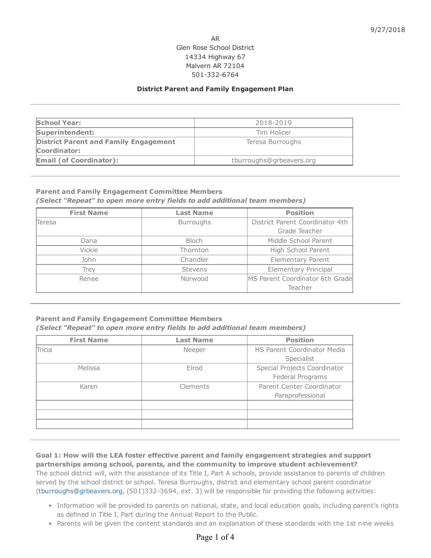## AR Glen Rose School District 14334 Highway 67 Malvern AR 72104 501-332-6764

## District Parent and Family Engagement Plan

| <b>School Year:</b>                          | 2018-2019                |  |
|----------------------------------------------|--------------------------|--|
| Superintendent:                              | Tim Holicer              |  |
| <b>District Parent and Family Engagement</b> | Teresa Burroughs         |  |
| Coordinator:                                 |                          |  |
| <b>Email (of Coordinator):</b>               | tburroughs@grbeavers.org |  |

#### Parent and Family Engagement Committee Members

(Select "Repeat" to open more entry fields to add additional team members)

| <b>First Name</b>    | <b>Last Name</b> | <b>Position</b>                 |  |
|----------------------|------------------|---------------------------------|--|
| Teresa               | <b>Burroughs</b> | District Parent Coordinator 4th |  |
|                      |                  | Grade Teacher                   |  |
| <b>Bloch</b><br>Dana |                  | Middle School Parent            |  |
| Vickie               | Thornton         | High School Parent              |  |
| John                 | Chandler         | <b>Elementary Parent</b>        |  |
| <b>Trey</b>          | Stevens          | <b>Elementary Principal</b>     |  |
| Renee                | Norwood          | MS Parent Coordinator 6th Grade |  |
|                      |                  | Teacher                         |  |

## Parent and Family Engagement Committee Members

(Select "Repeat" to open more entry fields to add additional team members)

| <b>First Name</b> | <b>Last Name</b> | <b>Position</b>                    |  |
|-------------------|------------------|------------------------------------|--|
| Tricia            | Neeper           | <b>HS Parent Coordinator Media</b> |  |
|                   |                  | Specialist                         |  |
| Melissa           | Elrod            | Special Projects Coordinator       |  |
|                   |                  | Federal Programs                   |  |
| Karen             | Clements         | Parent Center Coordinator          |  |
|                   |                  | Paraprofessional                   |  |
|                   |                  |                                    |  |
|                   |                  |                                    |  |
|                   |                  |                                    |  |
|                   |                  |                                    |  |

# Goal 1: How will the LEA foster effective parent and family engagement strategies and support partnerships among school, parents, and the community to improve student achievement? The school district will, with the assistance of its Title I, Part A schools, provide assistance to parents of children served by the school district or school. Teresa Burroughs, district and elementary school parent coordinator [\(tburroughs@grbeavers.org,](mailto:tburroughs@grbeavers.org) (501)332-3694, ext. 3) will be responsible for providing the following activities:

- Information will be provided to parents on national, state, and local education goals, including parent's rights as defined in Title I, Part during the Annual Report to the Public.
- Parents will be given the content standards and an explanation of these standards with the 1st nine weeks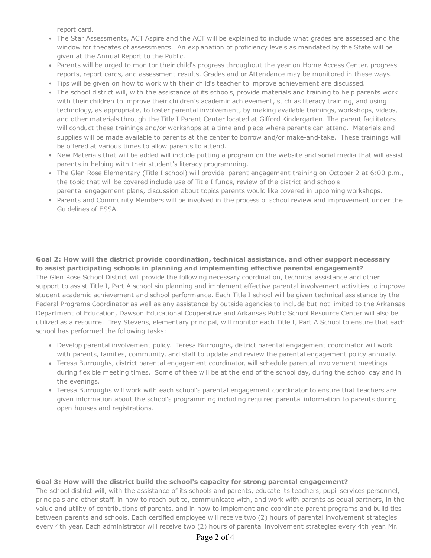report card.

- The Star Assessments, ACT Aspire and the ACT will be explained to include what grades are assessed and the window for thedates of assessments. An explanation of proficiency levels as mandated by the State will be given at the Annual Report to the Public.
- Parents will be urged to monitor their child's progress throughout the year on Home Access Center, progress reports, report cards, and assessment results. Grades and or Attendance may be monitored in these ways.
- Tips will be given on how to work with their child's teacher to improve achievement are discussed.
- The school district will, with the assistance of its schools, provide materials and training to help parents work with their children to improve their children's academic achievement, such as literacy training, and using technology, as appropriate, to foster parental involvement, by making available trainings, workshops, videos, and other materials through the Title I Parent Center located at Gifford Kindergarten. The parent facilitators will conduct these trainings and/or workshops at a time and place where parents can attend. Materials and supplies will be made available to parents at the center to borrow and/or make-and-take. These trainings will be offered at various times to allow parents to attend.
- New Materials that will be added will include putting a program on the website and social media that will assist parents in helping with their student's literacy programming.
- The Glen Rose Elementary (Title I school) will provide parent engagement training on October 2 at 6:00 p.m., the topic that will be covered include use of Title I funds, review of the district and schools parental engagement plans, discussion about topics parents would like covered in upcoming workshops.
- Parents and Community Members will be involved in the process of school review and improvement under the Guidelines of ESSA.

# Goal 2: How will the district provide coordination, technical assistance, and other support necessary to assist participating schools in planning and implementing effective parental engagement?

The Glen Rose School District will provide the following necessary coordination, technical assistance and other support to assist Title I, Part A school sin planning and implement effective parental involvement activities to improve student academic achievement and school performance. Each Title I school will be given technical assistance by the Federal Programs Coordinator as well as any assistance by outside agencies to include but not limited to the Arkansas Department of Education, Dawson Educational Cooperative and Arkansas Public School Resource Center will also be utilized as a resource. Trey Stevens, elementary principal, will monitor each Title I, Part A School to ensure that each school has performed the following tasks:

- Develop parental involvement policy. Teresa Burroughs, district parental engagement coordinator will work with parents, families, community, and staff to update and review the parental engagement policy annually.
- Teresa Burroughs, district parental engagement coordinator, will schedule parental involvement meetings during flexible meeting times. Some of thee will be at the end of the school day, during the school day and in the evenings.
- Teresa Burroughs will work with each school's parental engagement coordinator to ensure that teachers are given information about the school's programming including required parental information to parents during open houses and registrations.

#### Goal 3: How will the district build the school's capacity for strong parental engagement?

The school district will, with the assistance of its schools and parents, educate its teachers, pupil services personnel, principals and other staff, in how to reach out to, communicate with, and work with parents as equal partners, in the value and utility of contributions of parents, and in how to implement and coordinate parent programs and build ties between parents and schools. Each certified employee will receive two (2) hours of parental involvement strategies every 4th year. Each administrator will receive two (2) hours of parental involvement strategies every 4th year. Mr.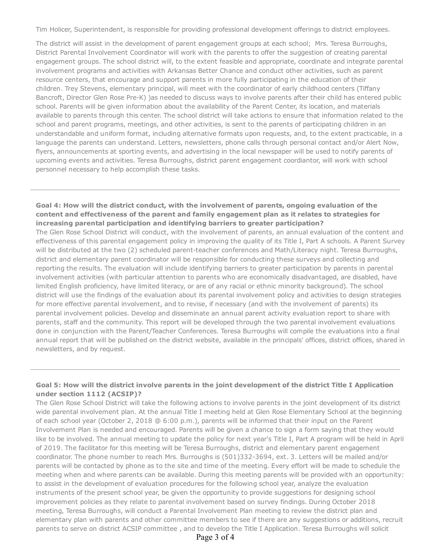Tim Holicer, Superintendent, is responsible for providing professional development offerings to district employees.

The district will assist in the development of parent engagement groups at each school; Mrs. Teresa Burroughs, District Parental Involvement Coordinator will work with the parents to offer the suggestion of creating parental engagement groups. The school district will, to the extent feasible and appropriate, coordinate and integrate parental involvement programs and activities with Arkansas Better Chance and conduct other activities, such as parent resource centers, that encourage and support parents in more fully participating in the education of their children. Trey Stevens, elementary principal, will meet with the coordinator of early childhood centers (Tiffany Bancroft, Director Glen Rose Pre-K) )as needed to discuss ways to involve parents after their child has entered public school. Parents will be given information about the availability of the Parent Center, its location, and materials available to parents through this center. The school district will take actions to ensure that information related to the school and parent programs, meetings, and other activities, is sent to the parents of participating children in an understandable and uniform format, including alternative formats upon requests, and, to the extent practicable, in a language the parents can understand. Letters, newsletters, phone calls through personal contact and/or Alert Now, flyers, announcements at sporting events, and advertising in the local newspaper will be used to notify parents of upcoming events and activities. Teresa Burroughs, district parent engagement coordiantor, will work with school personnel necessary to help accomplish these tasks.

## Goal 4: How will the district conduct, with the involvement of parents, ongoing evaluation of the content and effectiveness of the parent and family engagement plan as it relates to strategies for increasing parental participation and identifying barriers to greater participation?

The Glen Rose School District will conduct, with the involvement of parents, an annual evaluation of the content and effectiveness of this parental engagement policy in improving the quality of its Title I, Part A schools. A Parent Survey will be distributed at the two (2) scheduled parent-teacher conferences and Math/Literacy night. Teresa Burroughs, district and elementary parent coordinator will be responsible for conducting these surveys and collecting and reporting the results. The evaluation will include identifying barriers to greater participation by parents in parental involvement activities (with particular attention to parents who are economically disadvantaged, are disabled, have limited English proficiency, have limited literacy, or are of any racial or ethnic minority background). The school district will use the findings of the evaluation about its parental involvement policy and activities to design strategies for more effective parental involvement, and to revise, if necessary (and with the involvement of parents) its parental involvement policies. Develop and disseminate an annual parent activity evaluation report to share with parents, staff and the community. This report will be developed through the two parental involvement evaluations done in conjunction with the Parent/Teacher Conferences. Teresa Burroughs will compile the evaluations into a final annual report that will be published on the district website, available in the principals' offices, district offices, shared in newsletters, and by request.

## Goal 5: How will the district involve parents in the joint development of the district Title I Application under section 1112 (ACSIP)?

The Glen Rose School District will take the following actions to involve parents in the joint development of its district wide parental involvement plan. At the annual Title I meeting held at Glen Rose Elementary School at the beginning of each school year (October 2, 2018 @ 6:00 p.m.), parents will be informed that their input on the Parent Involvement Plan is needed and encouraged. Parents will be given a chance to sign a form saying that they would like to be involved. The annual meeting to update the policy for next year's Title I, Part A program will be held in April of 2019. The facilitator for this meeting will be Teresa Burroughs, district and elementary parent engagement coordinator. The phone number to reach Mrs. Burroughs is (501)332-3694, ext. 3. Letters will be mailed and/or parents will be contacted by phone as to the site and time of the meeting. Every effort will be made to schedule the meeting when and where parents can be available. During this meeting parents will be provided with an opportunity: to assist in the development of evaluation procedures for the following school year, analyze the evaluation instruments of the present school year, be given the opportunity to provide suggestions for designing school improvement policies as they relate to parental involvement based on survey findings. During October 2018 meeting, Teresa Burroughs, will conduct a Parental Involvement Plan meeting to review the district plan and elementary plan with parents and other committee members to see if there are any suggestions or additions, recruit parents to serve on district ACSIP committee , and to develop the Title I Application. Teresa Burroughs will solicit